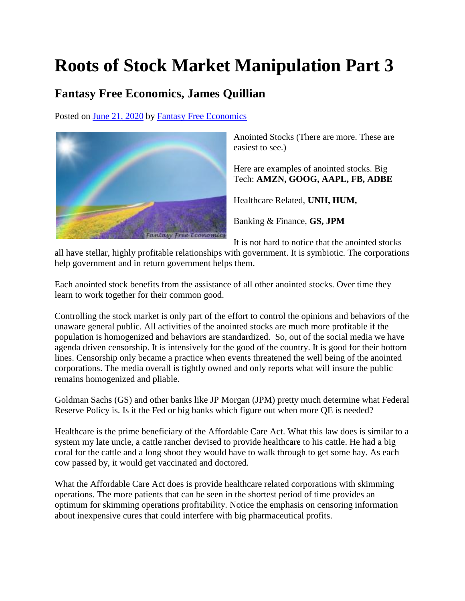## **Roots of Stock Market Manipulation Part 3**

## **Fantasy Free Economics, James Quillian**

Posted on [June 21, 2020](http://quillian.net/blog/?p=7161) by [Fantasy Free Economics](http://quillian.net/blog/author/james-quillian/)



Anointed Stocks (There are more. These are easiest to see.)

Here are examples of anointed stocks. Big Tech: **AMZN, GOOG, AAPL, FB, ADBE**

Healthcare Related, **UNH, HUM,**

Banking & Finance, **GS, JPM**

It is not hard to notice that the anointed stocks

all have stellar, highly profitable relationships with government. It is symbiotic. The corporations help government and in return government helps them.

Each anointed stock benefits from the assistance of all other anointed stocks. Over time they learn to work together for their common good.

Controlling the stock market is only part of the effort to control the opinions and behaviors of the unaware general public. All activities of the anointed stocks are much more profitable if the population is homogenized and behaviors are standardized. So, out of the social media we have agenda driven censorship. It is intensively for the good of the country. It is good for their bottom lines. Censorship only became a practice when events threatened the well being of the anointed corporations. The media overall is tightly owned and only reports what will insure the public remains homogenized and pliable.

Goldman Sachs (GS) and other banks like JP Morgan (JPM) pretty much determine what Federal Reserve Policy is. Is it the Fed or big banks which figure out when more QE is needed?

Healthcare is the prime beneficiary of the Affordable Care Act. What this law does is similar to a system my late uncle, a cattle rancher devised to provide healthcare to his cattle. He had a big coral for the cattle and a long shoot they would have to walk through to get some hay. As each cow passed by, it would get vaccinated and doctored.

What the Affordable Care Act does is provide healthcare related corporations with skimming operations. The more patients that can be seen in the shortest period of time provides an optimum for skimming operations profitability. Notice the emphasis on censoring information about inexpensive cures that could interfere with big pharmaceutical profits.